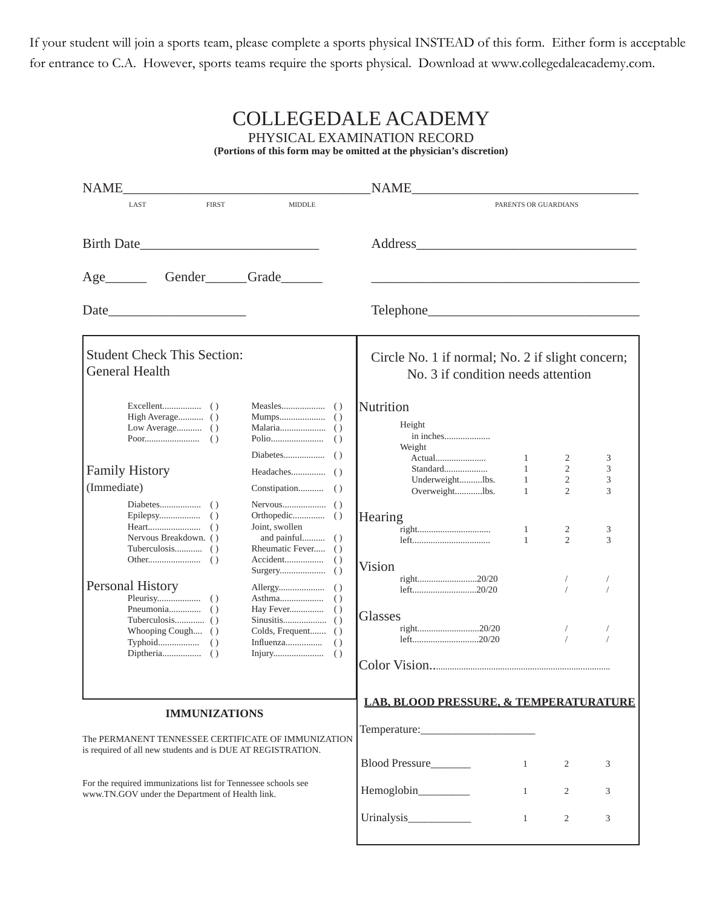If your student will join a sports team, please complete a sports physical INSTEAD of this form. Either form is acceptable for entrance to C.A. However, sports teams require the sports physical. Download at www.collegedaleacademy.com.

| <b>COLLEGEDALE ACADEMY</b><br>PHYSICAL EXAMINATION RECORD<br>(Portions of this form may be omitted at the physician's discretion)          |                                                                                        |                                                   |                                   |                                       |             |  |  |  |  |  |
|--------------------------------------------------------------------------------------------------------------------------------------------|----------------------------------------------------------------------------------------|---------------------------------------------------|-----------------------------------|---------------------------------------|-------------|--|--|--|--|--|
| <b>NAME</b>                                                                                                                                |                                                                                        | <b>NAME</b>                                       |                                   |                                       |             |  |  |  |  |  |
| <b>FIRST</b><br>LAST                                                                                                                       | <b>MIDDLE</b>                                                                          |                                                   | PARENTS OR GUARDIANS              |                                       |             |  |  |  |  |  |
| <b>Birth Date</b><br>Age                                                                                                                   | Gender Grade                                                                           |                                                   |                                   |                                       |             |  |  |  |  |  |
|                                                                                                                                            |                                                                                        |                                                   |                                   |                                       |             |  |  |  |  |  |
| <b>Student Check This Section:</b><br><b>General Health</b>                                                                                | Circle No. 1 if normal; No. 2 if slight concern;<br>No. 3 if condition needs attention |                                                   |                                   |                                       |             |  |  |  |  |  |
| High Average ()                                                                                                                            |                                                                                        | Nutrition<br>Height<br>in inches<br>Weight        | 1                                 | 2                                     | 3           |  |  |  |  |  |
| <b>Family History</b><br>(Immediate)                                                                                                       |                                                                                        | Standard<br>Underweightlbs.<br>Overweightlbs.     | 1<br>$\mathbf{1}$<br>$\mathbf{1}$ | $\overline{2}$<br>2<br>$\overline{2}$ | 3<br>3<br>3 |  |  |  |  |  |
| Nervous Breakdown. ()                                                                                                                      | Joint, swollen<br>Rheumatic Fever ()                                                   | Hearing<br>Vision                                 | 1<br>$\mathbf{1}$                 | 2<br>$\overline{2}$                   | 3<br>3      |  |  |  |  |  |
| Personal History                                                                                                                           |                                                                                        | right20/20<br>left20/20                           |                                   |                                       |             |  |  |  |  |  |
| Whooping Cough ()                                                                                                                          | Colds, Frequent ()                                                                     | Glasses<br>right20/20<br>left20/20                |                                   |                                       |             |  |  |  |  |  |
| <b>IMMUNIZATIONS</b><br>The PERMANENT TENNESSEE CERTIFICATE OF IMMUNIZATION<br>is required of all new students and is DUE AT REGISTRATION. |                                                                                        | <b>LAB, BLOOD PRESSURE, &amp; TEMPERATURATURE</b> |                                   |                                       |             |  |  |  |  |  |
|                                                                                                                                            |                                                                                        | Blood Pressure                                    | $\mathbf{1}$                      | 2                                     | 3           |  |  |  |  |  |
| For the required immunizations list for Tennessee schools see<br>www.TN.GOV under the Department of Health link.                           | Hemoglobin________                                                                     | $\mathbf{1}$                                      | 2                                 | 3                                     |             |  |  |  |  |  |
|                                                                                                                                            |                                                                                        |                                                   | $\mathbf{1}$                      | 2                                     | 3           |  |  |  |  |  |